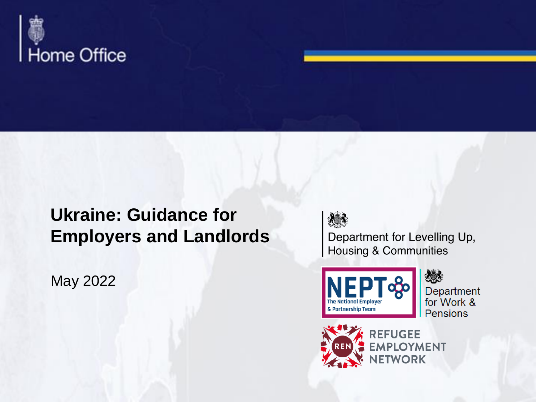

### **Ukraine: Guidance for Employers and Landlords**

May 2022



Department for Levelling Up, **Housing & Communities** 



次の人 Department for Work & **Pensions** 



**REFUGEE EMPLOYMENT NETWORK**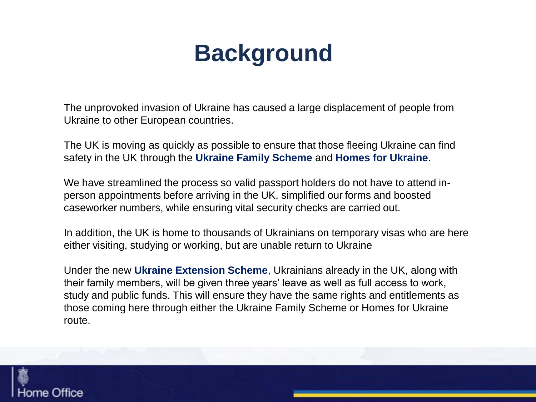# **Background**

The unprovoked invasion of Ukraine has caused a large displacement of people from Ukraine to other European countries.

The UK is moving as quickly as possible to ensure that those fleeing Ukraine can find safety in the UK through the **Ukraine Family Scheme** and **Homes for Ukraine**.

We have streamlined the process so valid passport holders do not have to attend inperson appointments before arriving in the UK, simplified our forms and boosted caseworker numbers, while ensuring vital security checks are carried out.

In addition, the UK is home to thousands of Ukrainians on temporary visas who are here either visiting, studying or working, but are unable return to Ukraine

Under the new **Ukraine Extension Scheme**, Ukrainians already in the UK, along with their family members, will be given three years' leave as well as full access to work, study and public funds. This will ensure they have the same rights and entitlements as those coming here through either the Ukraine Family Scheme or Homes for Ukraine route.

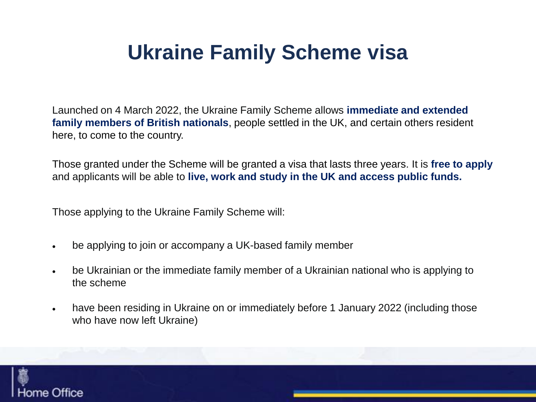### **Ukraine Family Scheme visa**

Launched on 4 March 2022, the Ukraine Family Scheme allows **immediate and extended family members of British nationals**, people settled in the UK, and certain others resident here, to come to the country.

Those granted under the Scheme will be granted a visa that lasts three years. It is **free to apply**  and applicants will be able to **live, work and study in the UK and access public funds.**

Those applying to the Ukraine Family Scheme will:

- be applying to join or accompany a UK-based family member
- be Ukrainian or the immediate family member of a Ukrainian national who is applying to the scheme
- have been residing in Ukraine on or immediately before 1 January 2022 (including those who have now left Ukraine)

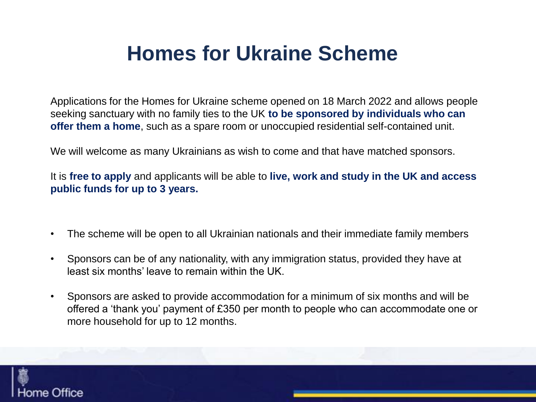### **Homes for Ukraine Scheme**

Applications for the Homes for Ukraine scheme opened on 18 March 2022 and allows people seeking sanctuary with no family ties to the UK **to be sponsored by individuals who can offer them a home**, such as a spare room or unoccupied residential self-contained unit.

We will welcome as many Ukrainians as wish to come and that have matched sponsors.

It is **free to apply** and applicants will be able to **live, work and study in the UK and access public funds for up to 3 years.**

- The scheme will be open to all Ukrainian nationals and their immediate family members
- Sponsors can be of any nationality, with any immigration status, provided they have at least six months' leave to remain within the UK.
- Sponsors are asked to provide accommodation for a minimum of six months and will be offered a 'thank you' payment of £350 per month to people who can accommodate one or more household for up to 12 months.

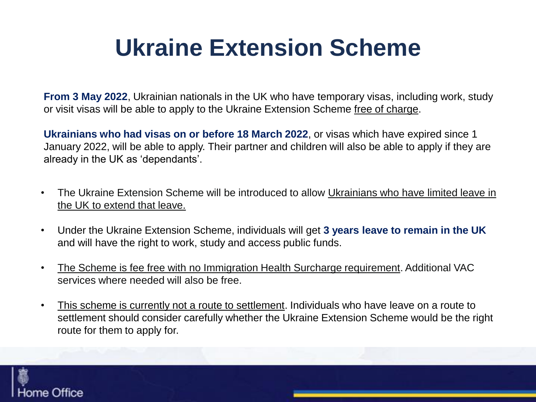# **Ukraine Extension Scheme**

**From 3 May 2022**, Ukrainian nationals in the UK who have temporary visas, including work, study or visit visas will be able to apply to the Ukraine Extension Scheme free of charge.

**Ukrainians who had visas on or before 18 March 2022**, or visas which have expired since 1 January 2022, will be able to apply. Their partner and children will also be able to apply if they are already in the UK as 'dependants'.

- The Ukraine Extension Scheme will be introduced to allow Ukrainians who have limited leave in the UK to extend that leave.
- Under the Ukraine Extension Scheme, individuals will get **3 years leave to remain in the UK**  and will have the right to work, study and access public funds.
- The Scheme is fee free with no Immigration Health Surcharge requirement. Additional VAC services where needed will also be free.
- This scheme is currently not a route to settlement. Individuals who have leave on a route to settlement should consider carefully whether the Ukraine Extension Scheme would be the right route for them to apply for.

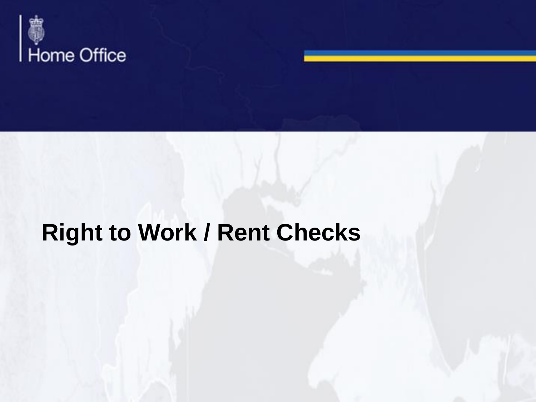

### **Right to Work / Rent Checks**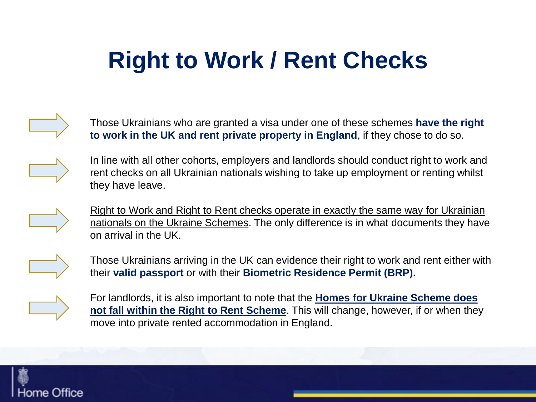# **Right to Work / Rent Checks**



Those Ukrainians who are granted a visa under one of these schemes **have the right to work in the UK and rent private property in England**, if they chose to do so.



In line with all other cohorts, employers and landlords should conduct right to work and rent checks on all Ukrainian nationals wishing to take up employment or renting whilst they have leave.



Right to Work and Right to Rent checks operate in exactly the same way for Ukrainian nationals on the Ukraine Schemes. The only difference is in what documents they have on arrival in the UK.



Those Ukrainians arriving in the UK can evidence their right to work and rent either with their **valid passport** or with their **Biometric Residence Permit (BRP).**



For landlords, it is also important to note that the **Homes for Ukraine Scheme does not fall within the Right to Rent Scheme**. This will change, however, if or when they move into private rented accommodation in England.

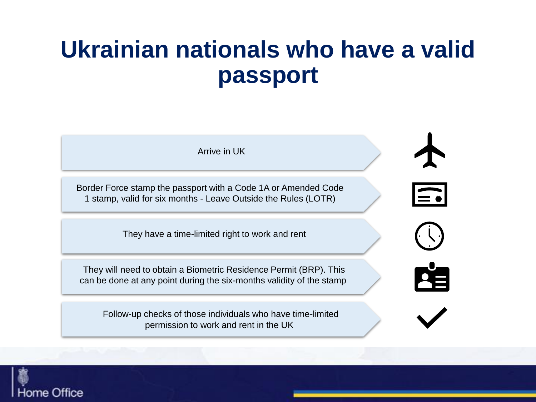### **Ukrainian nationals who have a valid passport**



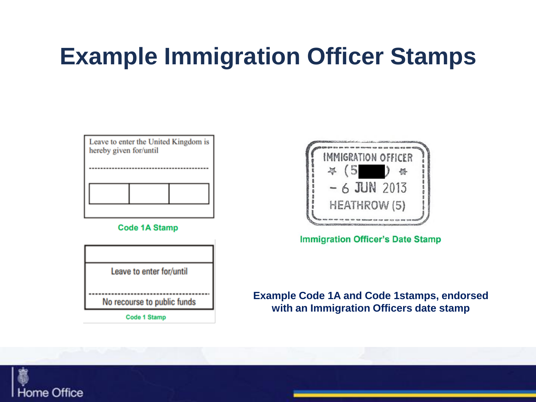### **Example Immigration Officer Stamps**

Leave to enter the United Kingdom is hereby given for/until



**Code 1A Stamp** 



**Code 1 Stamp** 



**Immigration Officer's Date Stamp** 

### **Example Code 1A and Code 1stamps, endorsed with an Immigration Officers date stamp**

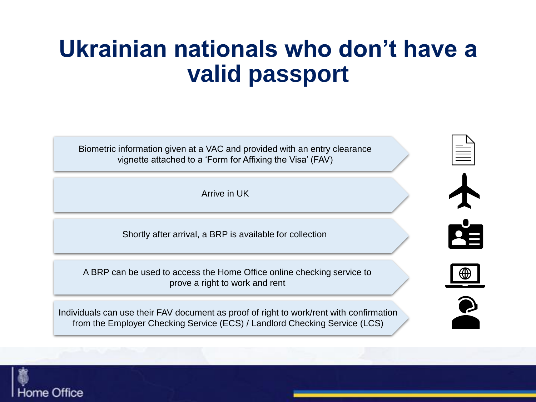### **Ukrainian nationals who don't have a valid passport**

Biometric information given at a VAC and provided with an entry clearance vignette attached to a 'Form for Affixing the Visa' (FAV)

Arrive in UK

Shortly after arrival, a BRP is available for collection

A BRP can be used to access the Home Office online checking service to prove a right to work and rent

Individuals can use their FAV document as proof of right to work/rent with confirmation from the Employer Checking Service (ECS) / Landlord Checking Service (LCS)







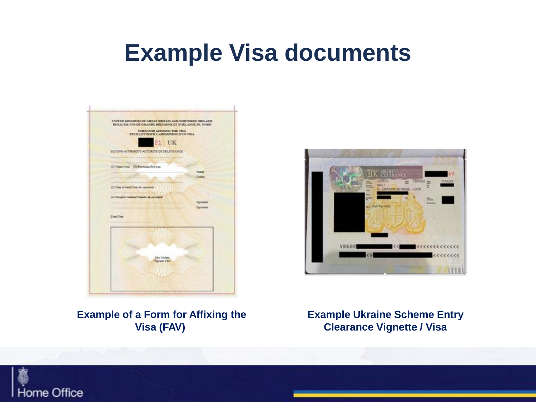### **Example Visa documents**

| BOYCALIME CINEDE GRANDE BRETAGNE ET EFBELANDE DU NORD-             |                           | UNITED KINGDOM OF GREAT BRITAIN AND NORTHERN ERELAND |
|--------------------------------------------------------------------|---------------------------|------------------------------------------------------|
| FORM FOR AFFICING THE VISA<br>FIX HE FOUR L'APPOSITION D'UN VILL   |                           |                                                      |
| UK<br>21                                                           |                           |                                                      |
| ELEUDOS AUTHORITY (AUTORITE DE DELIVEANCE)                         |                           |                                                      |
| 1.00170                                                            |                           |                                                      |
| (D.YankNess, Cliffornian/Ninosa)                                   |                           |                                                      |
|                                                                    | <b>Station</b><br>Civilat |                                                      |
| <b><i><u>Roughlin</u></i></b><br>(1) Date of bath Dok de vasioness |                           |                                                      |
|                                                                    |                           |                                                      |
| (4) Traughet roading Triagulat de paraignat                        | <b>Tigrussay</b>          |                                                      |
|                                                                    | lighates                  |                                                      |
| Date Class                                                         |                           |                                                      |
|                                                                    |                           |                                                      |
|                                                                    |                           |                                                      |
|                                                                    |                           |                                                      |
|                                                                    |                           |                                                      |
| <b>Sha Striker</b><br>Vignora Vice                                 |                           |                                                      |
|                                                                    |                           |                                                      |

# $n$ **HILL!**

### **Example of a Form for Affixing the Visa (FAV)**

**Example Ukraine Scheme Entry Clearance Vignette / Visa**

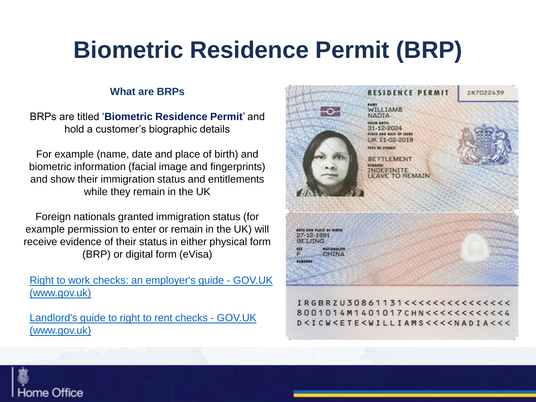## **Biometric Residence Permit (BRP)**

### **What are BRPs**

BRPs are titled '**Biometric Residence Permit**' and hold a customer's biographic details

For example (name, date and place of birth) and biometric information (facial image and fingerprints) and show their immigration status and entitlements while they remain in the UK

Foreign nationals granted immigration status (for example permission to enter or remain in the UK) will receive evidence of their status in either physical form (BRP) or digital form (eVisa)

[Right to work checks: an employer's guide -](https://www.gov.uk/government/publications/right-to-work-checks-employers-guide) GOV.UK (www.gov.uk)

[Landlord's guide to right to rent checks -](https://www.gov.uk/government/publications/landlords-guide-to-right-to-rent-checks) GOV.UK (www.gov.uk)



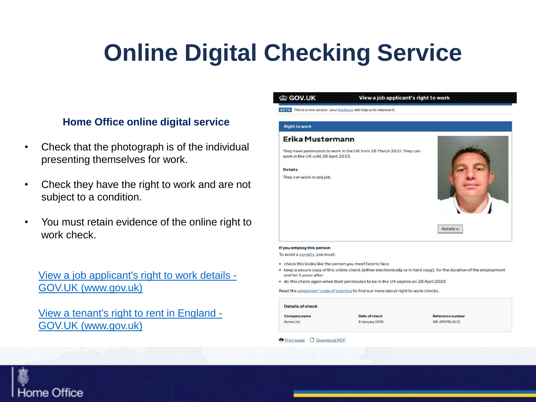# **Online Digital Checking Service**

### **Home Office online digital service**

- Check that the photograph is of the individual presenting themselves for work.
- Check they have the right to work and are not subject to a condition.
- You must retain evidence of the online right to work check.

[View a job applicant's right to work details -](https://www.gov.uk/view-right-to-work) GOV.UK (www.gov.uk)

[View a tenant's right to rent in England -](https://www.gov.uk/view-right-to-rent) GOV.UK (www.gov.uk)

#### dia GOV.UK

#### View a job applicant's right to work

**BETA** This is a new service - your feedback will help us to improve it.

#### **Right to work**

#### Erika Mustermann

They have permission to work in the UK from 28 March 2021. They can work in the UK until 28 April 2023.

**Details** 

They can work in any job.



Rotate o

#### If you employ this person

To avoid a penalty, you must:

- check this looks like the person you meet face to face
- keep a secure copy of this online check (either electronically or in hard copy), for the duration of the employment and for 2 years after
- do this check again when their permission to be in the UK expires on 28 April 2023

Read the employers' code of practice to find out more about right to work checks.

#### Details of check

Company name Acme Ltd.

Date of check 8 January 2018

**Reference numbe** WE-JRKMKIG-12

**D** Print page D Download PDF

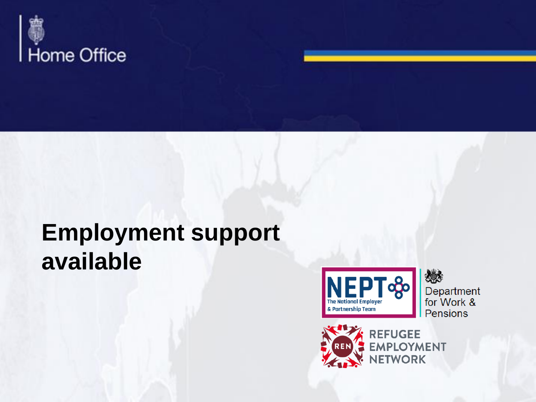

### **Employment support available**



嫁 Department for Work & Pensions



REFUGEE<br>EMPLOYMENT **NETWORK**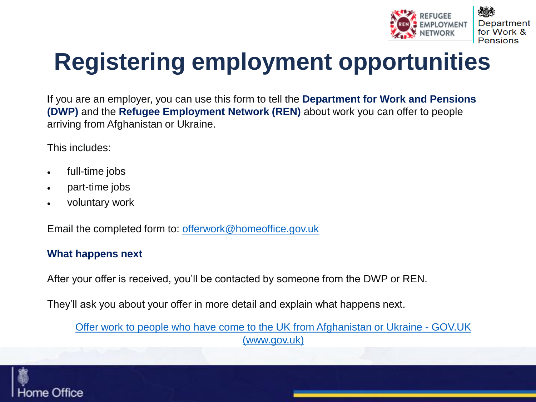

# **Registering employment opportunities**

**I**f you are an employer, you can use this form to tell the **Department for Work and Pensions (DWP)** and the **Refugee Employment Network (REN)** about work you can offer to people arriving from Afghanistan or Ukraine.

This includes:

- full-time jobs
- part-time jobs
- voluntary work

Email the completed form to: [offerwork@homeoffice.gov.uk](mailto:offerwork@homeoffice.gov.uk)

### **What happens next**

After your offer is received, you'll be contacted by someone from the DWP or REN.

They'll ask you about your offer in more detail and explain what happens next.

[Offer work to people who have come to the UK from Afghanistan or Ukraine -](https://gbr01.safelinks.protection.outlook.com/?url=https%3A%2F%2Fwww.gov.uk%2Fgovernment%2Fpublications%2Foffer-work-to-people-who-have-come-to-the-uk-from-afghanistan-or-ukraine&data=05%7C01%7CRoss.Norman%40homeoffice.gov.uk%7Ca787d2c77085484eb35408da22098544%7Cf24d93ecb2914192a08af182245945c2%7C0%7C0%7C637859721518554640%7CUnknown%7CTWFpbGZsb3d8eyJWIjoiMC4wLjAwMDAiLCJQIjoiV2luMzIiLCJBTiI6Ik1haWwiLCJXVCI6Mn0%3D%7C3000%7C%7C%7C&sdata=PUYLbzTYK5GWJ0MMYiMV7ab41w9ot8J2h81GZ1Otstk%3D&reserved=0) GOV.UK (www.gov.uk)

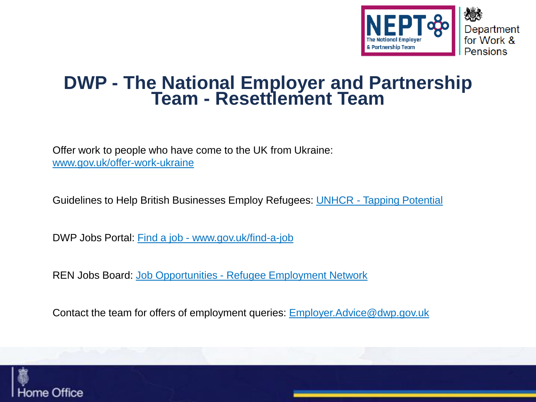

### **DWP - The National Employer and Partnership Team - Resettlement Team**

Offer work to people who have come to the UK from Ukraine: [www.gov.uk/offer-work-ukraine](http://www.gov.uk/offer-work-ukraine)

Guidelines to Help British Businesses Employ Refugees: UNHCR - [Tapping Potential](https://www.unhcr.org/publications/brochures/5cc9c7ed4/tapping-potential-guidelines-to-help-british-businesses-employ-refugees.html)

DWP Jobs Portal: Find a job - [www.gov.uk/find-a-job](https://www.gov.uk/find-a-job)

REN Jobs Board: Job Opportunities - [Refugee Employment Network](https://refugeeemploymentnetwork.co.uk/job-opportunities)

Contact the team for offers of employment queries: [Employer.Advice@dwp.gov.uk](mailto:Employer.Advice@dwp.gov.uk)

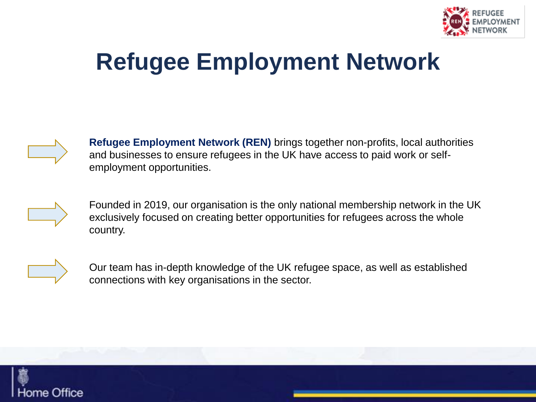

## **Refugee Employment Network**



**Refugee Employment Network (REN)** brings together non-profits, local authorities and businesses to ensure refugees in the UK have access to paid work or selfemployment opportunities.



Founded in 2019, our organisation is the only national membership network in the UK exclusively focused on creating better opportunities for refugees across the whole country.



Our team has in-depth knowledge of the UK refugee space, as well as established connections with key organisations in the sector.

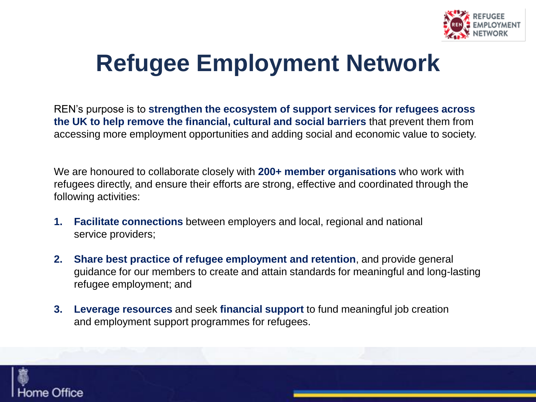

# **Refugee Employment Network**

REN's purpose is to **strengthen the ecosystem of support services for refugees across the UK to help remove the financial, cultural and social barriers** that prevent them from accessing more employment opportunities and adding social and economic value to society.

We are honoured to collaborate closely with **200+ member organisations** who work with refugees directly, and ensure their efforts are strong, effective and coordinated through the following activities:

- **1. Facilitate connections** between employers and local, regional and national service providers;
- **2. Share best practice of refugee employment and retention**, and provide general guidance for our members to create and attain standards for meaningful and long-lasting refugee employment; and
- **3. Leverage resources** and seek **financial support** to fund meaningful job creation and employment support programmes for refugees.

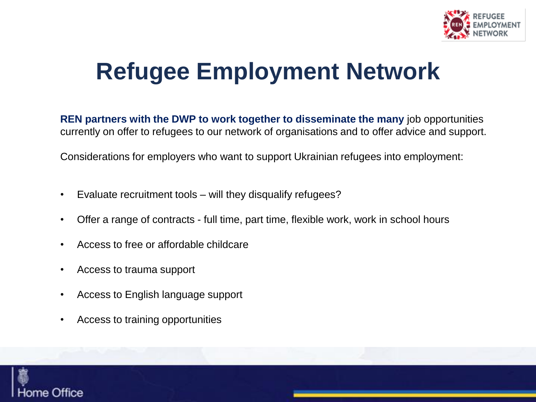

# **Refugee Employment Network**

**REN partners with the DWP to work together to disseminate the many** job opportunities currently on offer to refugees to our network of organisations and to offer advice and support.

Considerations for employers who want to support Ukrainian refugees into employment:

- Evaluate recruitment tools will they disqualify refugees?
- Offer a range of contracts full time, part time, flexible work, work in school hours
- Access to free or affordable childcare
- Access to trauma support
- Access to English language support
- Access to training opportunities

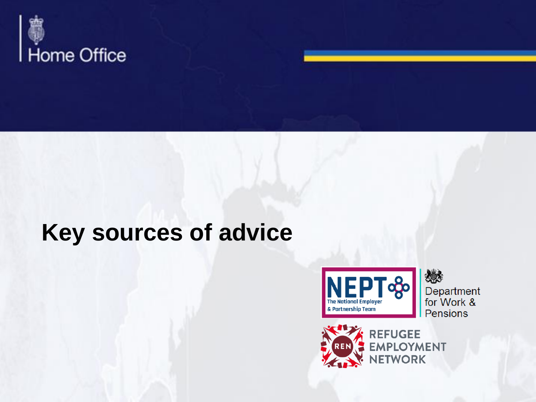

### **Key sources of advice**



燃 Department<br>for Work & Pensions



REFUGEE<br>EMPLOYMENT **NETWORK**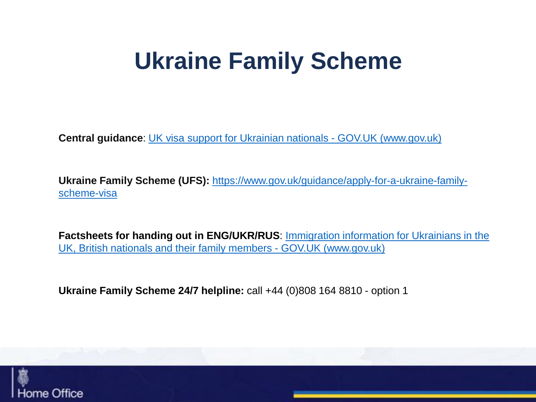### **Ukraine Family Scheme**

**Central guidance**: [UK visa support for Ukrainian nationals -](https://www.gov.uk/guidance/support-for-family-members-of-british-nationals-in-ukraine-and-ukrainian-nationals-in-ukraine-and-the-uk) GOV.UK (www.gov.uk)

**Ukraine Family Scheme (UFS):** [https://www.gov.uk/guidance/apply-for-a-ukraine-family](https://www.gov.uk/guidance/apply-for-a-ukraine-family-scheme-visa)scheme-visa

**Factsheets for handing out in ENG/UKR/RUS**: Immigration information for Ukrainians in the [UK, British nationals and their family members -](https://www.gov.uk/government/publications/immigration-information-for-ukrainians-in-the-uk-british-nationals-and-their-family-members) GOV.UK (www.gov.uk)

**Ukraine Family Scheme 24/7 helpline:** call +44 (0)808 164 8810 - option 1

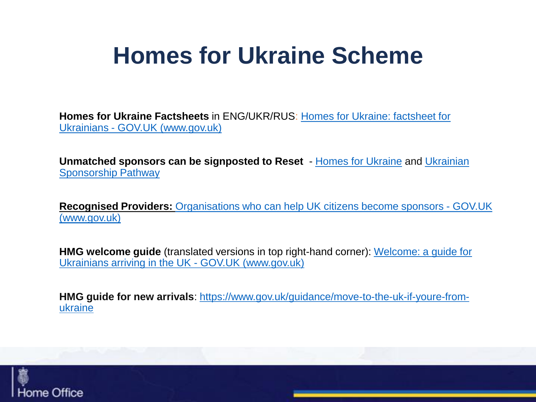## **Homes for Ukraine Scheme**

**Homes for Ukraine Factsheets** [in ENG/UKR/RUS: Homes for Ukraine: factsheet for](https://www.gov.uk/government/publications/homes-for-ukraine-factsheet-for-ukrainians)  Ukrainians - GOV.UK (www.gov.uk)

**Unmatched sponsors can be signposted to Reset** - [Homes for Ukraine](https://gbr01.safelinks.protection.outlook.com/?url=https%3A%2F%2Fwww.homesforukraine.org.uk%2F&data=04%7C01%7CHelen.Wright5%40homeoffice.gov.uk%7Cb6950581888a4e5a6a1008da0ccbf1d9%7Cf24d93ecb2914192a08af182245945c2%7C0%7C0%7C637836367445049710%7CUnknown%7CTWFpbGZsb3d8eyJWIjoiMC4wLjAwMDAiLCJQIjoiV2luMzIiLCJBTiI6Ik1haWwiLCJXVCI6Mn0%3D%7C3000&sdata=2UAxe9zzsjabEnM00OoadaKsf5KY9dGiN1Dv0qSwPKI%3D&reserved=0) and Ukrainian Sponsorship Pathway

**Recognised Providers:** [Organisations who can help UK citizens become sponsors -](https://www.gov.uk/guidance/recognised-providers-organisations-who-can-help-uk-citizens-become-sponsors) GOV.UK (www.gov.uk)

**HMG welcome guide** [\(translated versions in top right-hand](https://www.gov.uk/government/publications/welcome-a-guide-for-ukrainians-arriving-in-the-uk) corner): Welcome: a guide for Ukrainians arriving in the UK - GOV.UK (www.gov.uk)

**HMG guide for new arrivals**: [https://www.gov.uk/guidance/move-to-the-uk-if-youre-from](https://www.gov.uk/guidance/move-to-the-uk-if-youre-from-ukraine)ukraine

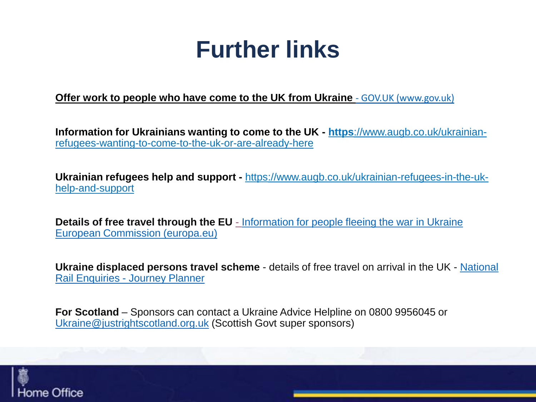### **Further links**

**[Offer work to people who have come to the UK from Ukraine](https://www.gov.uk/offer-work-ukraine) - GOV.UK (www.gov.uk)** 

**Information for Ukrainians wanting to come to the UK - https**://www.augb.co.uk/ukrainian[refugees-wanting-to-come-to-the-uk-or-are-already-here](http://Uhttps:/www.augb.co.uk/ukrainian-refugees-wanting-to-come-to-the-uk-or-are-already-here)

**Ukrainian refugees help and support -** [https://www.augb.co.uk/ukrainian-refugees-in-the-uk](https://www.augb.co.uk/ukrainian-refugees-in-the-uk-help-and-support)help-and-support

**Details of free travel through the EU** - [Information for people fleeing the war in Ukraine](https://gbr01.safelinks.protection.outlook.com/?url=https%3A%2F%2Fec.europa.eu%2Finfo%2Fstrategy%2Fpriorities-2019-2024%2Fstronger-europe-world%2Feu-solidarity-ukraine%2Feu-assistance-ukraine%2Finformation-people-fleeing-war-ukraine_en%23information-on-free-travel-options-offered-by-european-transport-companies&data=04%7C01%7CHelen.Wright5%40homeoffice.gov.uk%7Cbd8ad2ced4b7494b70f308da0f1af115%7Cf24d93ecb2914192a08af182245945c2%7C0%7C0%7C637838905621658396%7CUnknown%7CTWFpbGZsb3d8eyJWIjoiMC4wLjAwMDAiLCJQIjoiV2luMzIiLCJBTiI6Ik1haWwiLCJXVCI6Mn0%3D%7C3000&sdata=JScCVRvfmjUgqDvIiv2PMnq6sNOQy%2BKMynYP3VEbE64%3D&reserved=0)  European Commission (europa.eu)

**[Ukraine displaced persons travel scheme](https://www.nationalrail.co.uk/ukr-travel.aspx)** - details of free travel on arrival in the UK - National Rail Enquiries - Journey Planner

**For Scotland** – Sponsors can contact a Ukraine Advice Helpline on 0800 9956045 or [Ukraine@justrightscotland.org.uk](mailto:Ukraine@justrightscotland.org.uk) (Scottish Govt super sponsors)

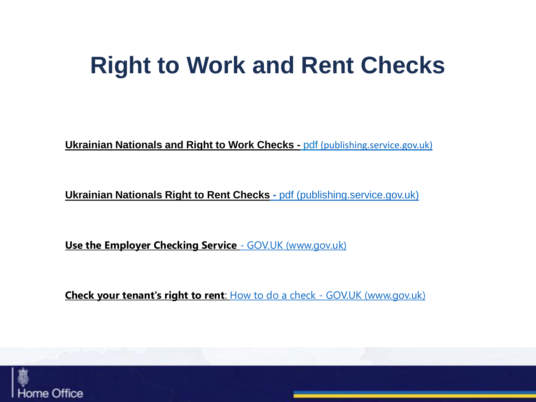### **Right to Work and Rent Checks**

**[Ukrainian Nationals and Right to Work Checks -](https://assets.publishing.service.gov.uk/government/uploads/system/uploads/attachment_data/file/1068174/Ukrainian_nationals_and_right_to_work_checks.pdf) pdf (publishing.service.gov.uk)** 

**[Ukrainian Nationals Right to Rent Checks](https://assets.publishing.service.gov.uk/government/uploads/system/uploads/attachment_data/file/1067582/Ukrainian_nationals_and_right_to_rent_checks.pdf) -** pdf (publishing.service.gov.uk)

**[Use the Employer Checking Service](https://www.gov.uk/employee-immigration-employment-status) - GOV.UK (www.gov.uk)** 

**[Check your tenant's right to rent](https://www.gov.uk/check-tenant-right-to-rent-documents/how-to-check)**: How to do a check - GOV.UK (www.gov.uk)